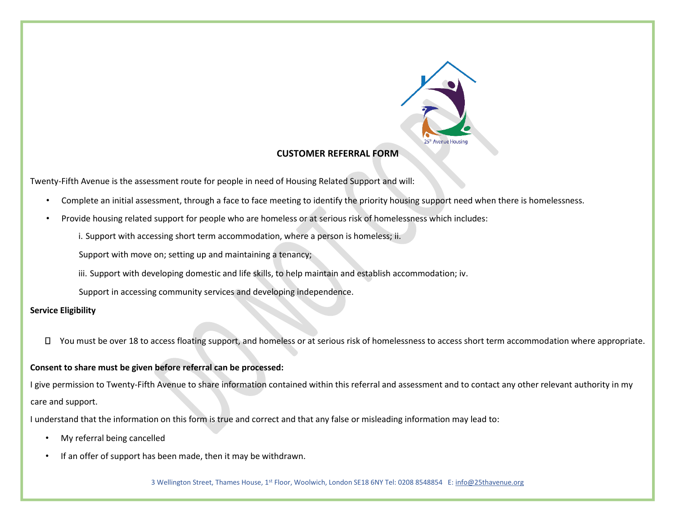

## **CUSTOMER REFERRAL FORM**

Twenty-Fifth Avenue is the assessment route for people in need of Housing Related Support and will:

- Complete an initial assessment, through a face to face meeting to identify the priority housing support need when there is homelessness.
- Provide housing related support for people who are homeless or at serious risk of homelessness which includes:

i. Support with accessing short term accommodation, where a person is homeless; ii.

Support with move on; setting up and maintaining a tenancy;

iii. Support with developing domestic and life skills, to help maintain and establish accommodation; iv.

Support in accessing community services and developing independence.

## **Service Eligibility**

□ You must be over 18 to access floating support, and homeless or at serious risk of homelessness to access short term accommodation where appropriate.

#### **Consent to share must be given before referral can be processed:**

I give permission to Twenty-Fifth Avenue to share information contained within this referral and assessment and to contact any other relevant authority in my care and support.

I understand that the information on this form is true and correct and that any false or misleading information may lead to:

- My referral being cancelled
- If an offer of support has been made, then it may be withdrawn.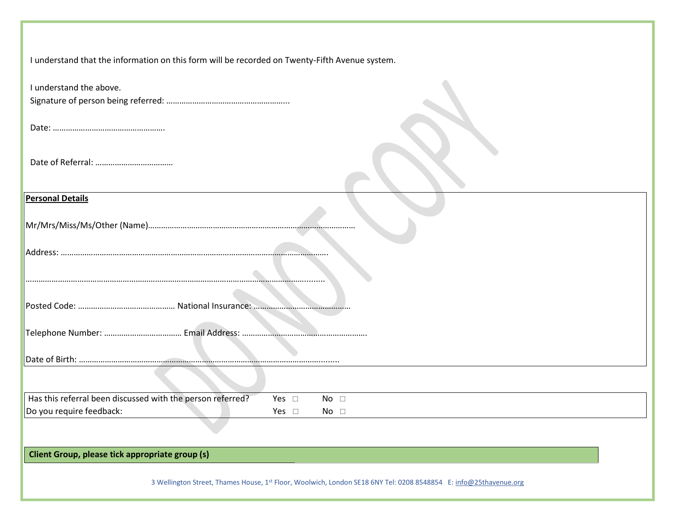| I understand that the information on this form will be recorded on Twenty-Fifth Avenue system. |  |
|------------------------------------------------------------------------------------------------|--|
|------------------------------------------------------------------------------------------------|--|

| I understand the above.                                                                                          |
|------------------------------------------------------------------------------------------------------------------|
|                                                                                                                  |
|                                                                                                                  |
|                                                                                                                  |
|                                                                                                                  |
|                                                                                                                  |
|                                                                                                                  |
|                                                                                                                  |
| <b>Personal Details</b>                                                                                          |
|                                                                                                                  |
|                                                                                                                  |
|                                                                                                                  |
|                                                                                                                  |
|                                                                                                                  |
|                                                                                                                  |
|                                                                                                                  |
|                                                                                                                  |
|                                                                                                                  |
|                                                                                                                  |
|                                                                                                                  |
|                                                                                                                  |
|                                                                                                                  |
| Has this referral been discussed with the person referred?<br>Yes $\square$<br>No $\square$                      |
| Do you require feedback:<br>Yes $\square$<br>No $\square$                                                        |
|                                                                                                                  |
|                                                                                                                  |
| Client Group, please tick appropriate group (s)                                                                  |
|                                                                                                                  |
| 3 Wellington Street, Thames House, 1st Floor, Woolwich, London SE18 6NY Tel: 0208 8548854 E: info@25thavenue.org |
|                                                                                                                  |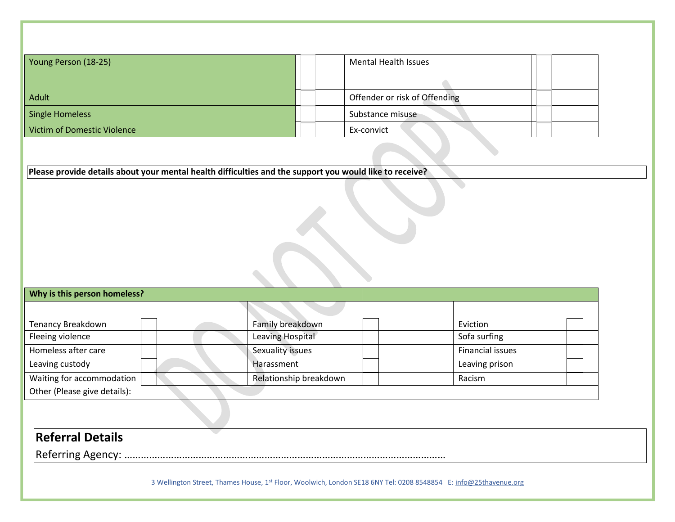| Young Person (18-25)        |  | <b>Mental Health Issues</b>   |
|-----------------------------|--|-------------------------------|
| Adult                       |  | Offender or risk of Offending |
| Single Homeless             |  | Substance misuse              |
| Victim of Domestic Violence |  | Ex-convict                    |

**Please provide details about your mental health difficulties and the support you would like to receive?** 

## **Why is this person homeless?**

| Tenancy Breakdown            | Family breakdown       | Eviction         |  |
|------------------------------|------------------------|------------------|--|
| Fleeing violence             | Leaving Hospital       | Sofa surfing     |  |
| Homeless after care          | Sexuality issues       | Financial issues |  |
| Leaving custody              | Harassment             | Leaving prison   |  |
| Waiting for accommodation    | Relationship breakdown | Racism           |  |
| Other (Please give details): |                        |                  |  |

## **Referral Details**

Referring Agency: ………………………………………………………………………………………………………

┳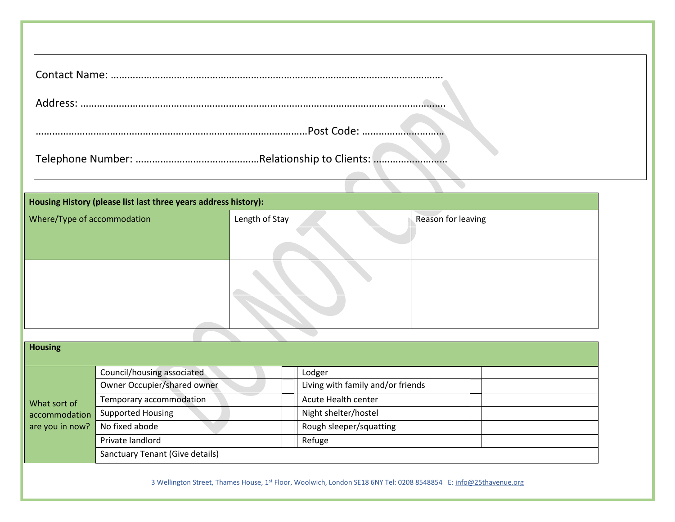| IAddress:   |
|-------------|
| .Post Code: |
|             |

 $\blacktriangledown$ 

| Housing History (please list last three years address history): |                |                    |
|-----------------------------------------------------------------|----------------|--------------------|
| Where/Type of accommodation                                     | Length of Stay | Reason for leaving |
|                                                                 |                |                    |
|                                                                 |                |                    |
|                                                                 |                |                    |
|                                                                 |                |                    |

| <b>Housing</b>  |                                        |                                   |  |
|-----------------|----------------------------------------|-----------------------------------|--|
|                 | Council/housing associated             | Lodger                            |  |
|                 | Owner Occupier/shared owner            | Living with family and/or friends |  |
| What sort of    | Temporary accommodation                | Acute Health center               |  |
| accommodation   | <b>Supported Housing</b>               | Night shelter/hostel              |  |
| are you in now? | No fixed abode                         | Rough sleeper/squatting           |  |
|                 | Private landlord                       | Refuge                            |  |
|                 | <b>Sanctuary Tenant (Give details)</b> |                                   |  |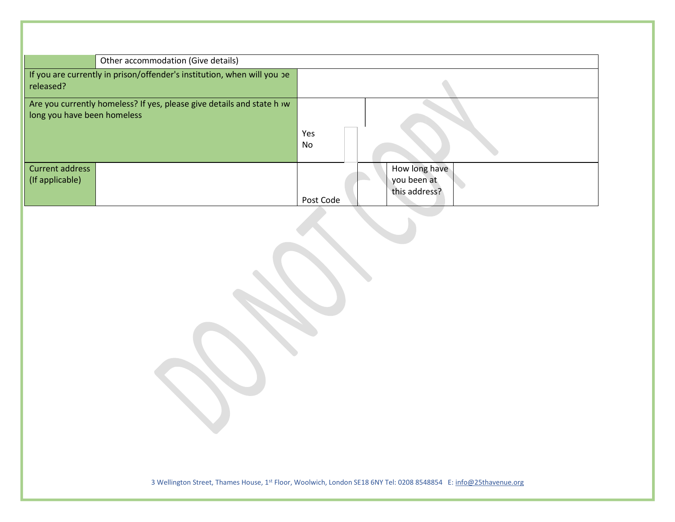| Other accommodation (Give details)                                                                   |            |                                               |
|------------------------------------------------------------------------------------------------------|------------|-----------------------------------------------|
| If you are currently in prison/offender's institution, when will you be<br>released?                 |            |                                               |
| Are you currently homeless? If yes, please give details and state h w<br>long you have been homeless | Yes<br>No. |                                               |
| Current address<br>(If applicable)                                                                   | Post Code  | How long have<br>you been at<br>this address? |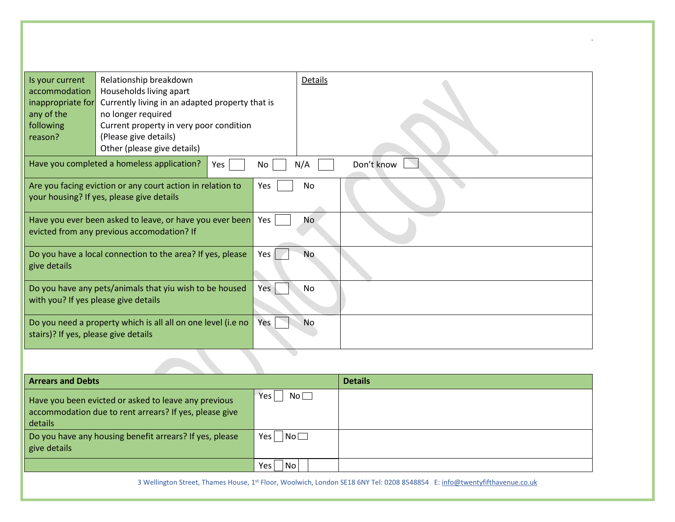| Is your current<br>accommodation<br>inappropriate for<br>any of the<br>following<br>reason? | Relationship breakdown<br>Households living apart<br>Currently living in an adapted property that is<br>no longer required<br>Current property in very poor condition<br>(Please give details)<br>Other (please give details) |     | Details   |            |
|---------------------------------------------------------------------------------------------|-------------------------------------------------------------------------------------------------------------------------------------------------------------------------------------------------------------------------------|-----|-----------|------------|
|                                                                                             | Have you completed a homeless application?<br>Yes                                                                                                                                                                             | No  | N/A       | Don't know |
|                                                                                             | Are you facing eviction or any court action in relation to<br>your housing? If yes, please give details                                                                                                                       | Yes | No        |            |
|                                                                                             | Have you ever been asked to leave, or have you ever been<br>evicted from any previous accomodation? If                                                                                                                        | Yes | No        |            |
| give details                                                                                | Do you have a local connection to the area? If yes, please                                                                                                                                                                    | Yes | No.       |            |
| with you? If yes please give details                                                        | Do you have any pets/animals that yiu wish to be housed                                                                                                                                                                       | Yes | No        |            |
| stairs)? If yes, please give details                                                        | Do you need a property which is all all on one level (i.e no                                                                                                                                                                  | Yes | <b>No</b> |            |
|                                                                                             |                                                                                                                                                                                                                               |     |           |            |

 $\alpha$ 

| <b>Arrears and Debts</b>                                                                                                  |                          | <b>Details</b> |
|---------------------------------------------------------------------------------------------------------------------------|--------------------------|----------------|
| Have you been evicted or asked to leave any previous<br>accommodation due to rent arrears? If yes, please give<br>details | Yes<br>$\mathsf{No}\Box$ |                |
| Do you have any housing benefit arrears? If yes, please<br>give details                                                   | $N$ o $\square$<br>Yes   |                |
|                                                                                                                           | N <sub>O</sub><br>Yes    |                |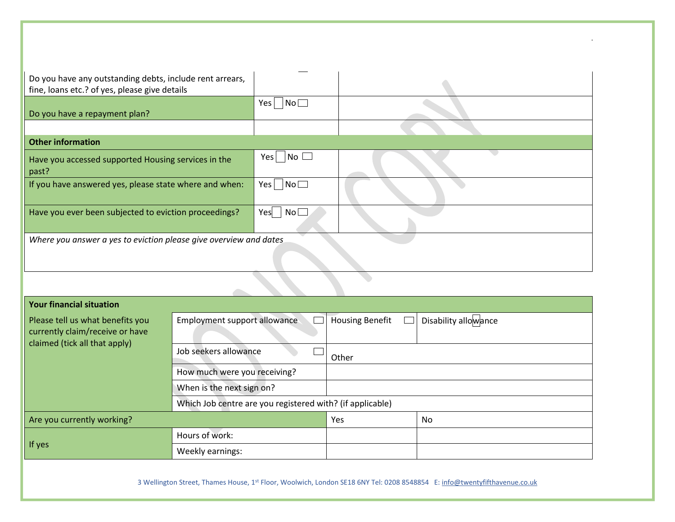| Do you have any outstanding debts, include rent arrears,<br>fine, loans etc.? of yes, please give details |                                                           |           |                        |                      |
|-----------------------------------------------------------------------------------------------------------|-----------------------------------------------------------|-----------|------------------------|----------------------|
| Do you have a repayment plan?                                                                             |                                                           | No<br>Yes |                        |                      |
|                                                                                                           |                                                           |           |                        |                      |
| <b>Other information</b>                                                                                  |                                                           |           |                        |                      |
| Have you accessed supported Housing services in the<br>past?                                              |                                                           | Yes No    |                        |                      |
| If you have answered yes, please state where and when:                                                    |                                                           | No<br>Yes |                        |                      |
| Have you ever been subjected to eviction proceedings?                                                     |                                                           | Yes<br>No |                        |                      |
| Where you answer a yes to eviction please give overview and dates                                         |                                                           |           |                        |                      |
|                                                                                                           |                                                           |           |                        |                      |
|                                                                                                           |                                                           |           |                        |                      |
| <b>Your financial situation</b>                                                                           |                                                           |           |                        |                      |
| Please tell us what benefits you<br>currently claim/receive or have<br>claimed (tick all that apply)      | Employment support allowance                              |           | <b>Housing Benefit</b> | Disability allowance |
|                                                                                                           | Job seekers allowance                                     |           | Other                  |                      |
|                                                                                                           | How much were you receiving?                              |           |                        |                      |
|                                                                                                           | When is the next sign on?                                 |           |                        |                      |
|                                                                                                           | Which Job centre are you registered with? (if applicable) |           |                        |                      |
| Are you currently working?                                                                                |                                                           |           | Yes                    | N <sub>0</sub>       |

Are you currently working? No was a state of the state of the state  $\sim$  No  $\sim$  No  $\sim$  No  $\sim$  No  $\sim$  No  $\sim$  No  $\sim$  No  $\sim$  No  $\sim$  No  $\sim$  No  $\sim$  No  $\sim$  No  $\sim$  No  $\sim$  No  $\sim$  No  $\sim$  No  $\sim$  No  $\sim$  No  $\sim$  No  $\$ If yes Hours of work: Weekly earnings: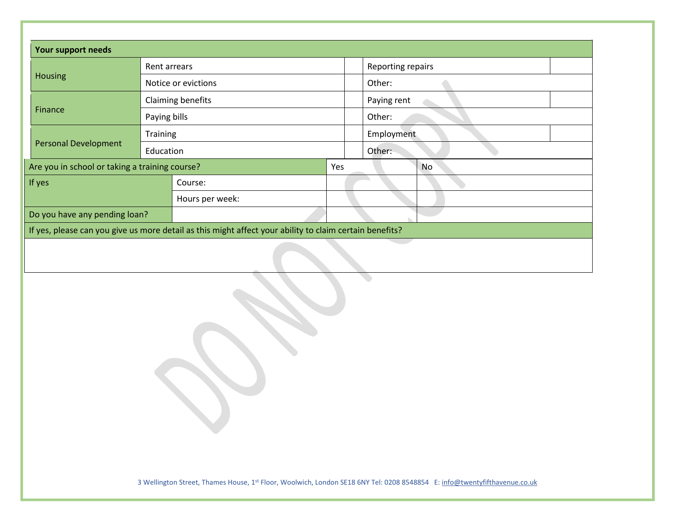| Reporting repairs<br>Rent arrears<br>Housing<br>Other:<br>Notice or evictions<br>Claiming benefits<br>Paying rent<br>Finance<br>Paying bills<br>Other:<br>Employment<br>Training<br><b>Personal Development</b><br>Other:<br>Education<br>Are you in school or taking a training course?<br>Yes<br><b>No</b><br>If yes<br>Course:<br>Hours per week:<br>Do you have any pending loan?<br>If yes, please can you give us more detail as this might affect your ability to claim certain benefits? |  |  |
|--------------------------------------------------------------------------------------------------------------------------------------------------------------------------------------------------------------------------------------------------------------------------------------------------------------------------------------------------------------------------------------------------------------------------------------------------------------------------------------------------|--|--|
|                                                                                                                                                                                                                                                                                                                                                                                                                                                                                                  |  |  |
|                                                                                                                                                                                                                                                                                                                                                                                                                                                                                                  |  |  |
|                                                                                                                                                                                                                                                                                                                                                                                                                                                                                                  |  |  |
|                                                                                                                                                                                                                                                                                                                                                                                                                                                                                                  |  |  |
|                                                                                                                                                                                                                                                                                                                                                                                                                                                                                                  |  |  |
|                                                                                                                                                                                                                                                                                                                                                                                                                                                                                                  |  |  |
|                                                                                                                                                                                                                                                                                                                                                                                                                                                                                                  |  |  |
|                                                                                                                                                                                                                                                                                                                                                                                                                                                                                                  |  |  |
|                                                                                                                                                                                                                                                                                                                                                                                                                                                                                                  |  |  |
|                                                                                                                                                                                                                                                                                                                                                                                                                                                                                                  |  |  |
|                                                                                                                                                                                                                                                                                                                                                                                                                                                                                                  |  |  |
|                                                                                                                                                                                                                                                                                                                                                                                                                                                                                                  |  |  |
|                                                                                                                                                                                                                                                                                                                                                                                                                                                                                                  |  |  |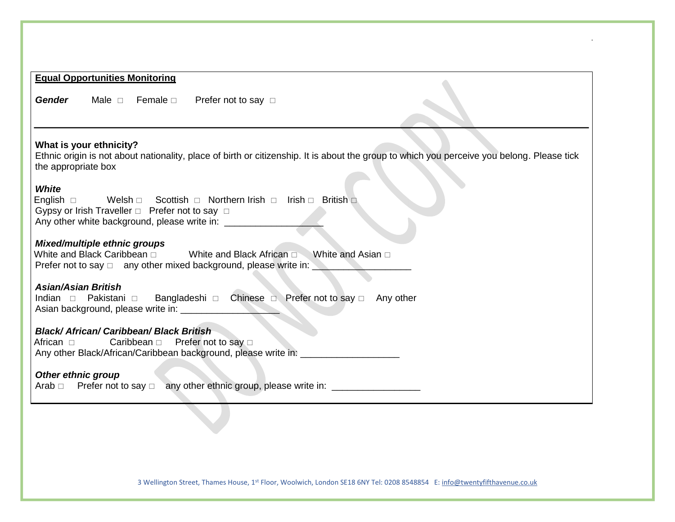# **Equal Opportunities Monitoring** Gender Male **Female** Prefer not to say **What is your ethnicity?**  Ethnic origin is not about nationality, place of birth or citizenship. It is about the group to which you perceive you belong. Please tick the appropriate box *White*  English  $\Box$  Welsh  $\Box$  Scottish  $\Box$  Northern Irish  $\Box$  Irish  $\Box$  British  $\Box$ Gypsy or Irish Traveller  $\Box$  Prefer not to say  $\Box$ Any other white background, please write in: *Mixed/multiple ethnic groups*  White and Black Caribbean  $\Box$  White and Black African  $\Box$  White and Asian  $\Box$ Prefer not to say  $\Box$  any other mixed background, please write in: *Asian/Asian British*  Indian Pakistani Bangladeshi Chinese Prefer not to say Any other Asian background, please write in: \_\_\_\_\_\_\_\_\_\_\_\_\_\_\_\_\_\_\_ *Black/ African/ Caribbean/ Black British*  African  $\Box$  Caribbean  $\Box$  Prefer not to say  $\Box$ Any other Black/African/Caribbean background, please write in: *Other ethnic group*  Arab  $\Box$  Prefer not to say  $\Box$  any other ethnic group, please write in:  $\Box$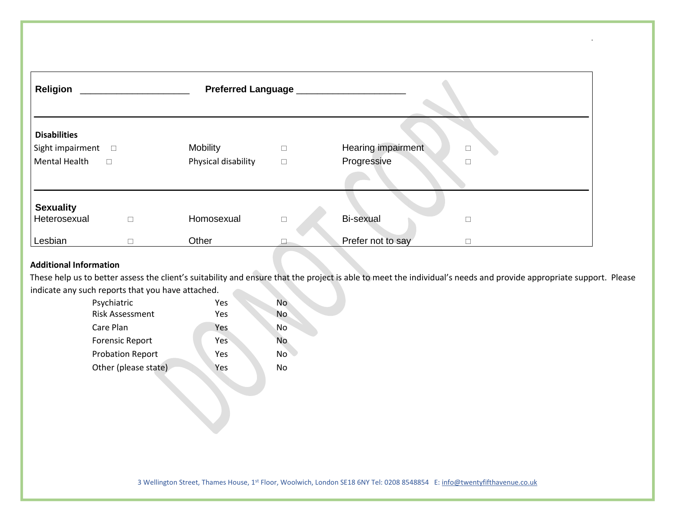| <b>Religion</b>                                                           |             | Preferred Language __________          |                  |                                            |  |
|---------------------------------------------------------------------------|-------------|----------------------------------------|------------------|--------------------------------------------|--|
| <b>Disabilities</b><br>Sight impairment $\square$<br><b>Mental Health</b> | $\Box$      | <b>Mobility</b><br>Physical disability | $\Box$<br>$\Box$ | Hearing impairment<br>П<br>Progressive     |  |
| <b>Sexuality</b><br>Heterosexual<br>Lesbian                               | $\Box$<br>п | Homosexual<br>Other                    | $\Box$           | <b>Bi-sexual</b><br>Prefer not to say<br>П |  |

## **Additional Information**

These help us to better assess the client's suitability and ensure that the project is able to meet the individual's needs and provide appropriate support. Please indicate any such reports that you have attached. **College** 

| Psychiatric             | Yes | No        |
|-------------------------|-----|-----------|
| <b>Risk Assessment</b>  | Yes | No.       |
| Care Plan               | Yes | No        |
| <b>Forensic Report</b>  | Yes | <b>No</b> |
| <b>Probation Report</b> | Yes | No        |
| Other (please state)    | Yes | No        |
|                         |     |           |

J.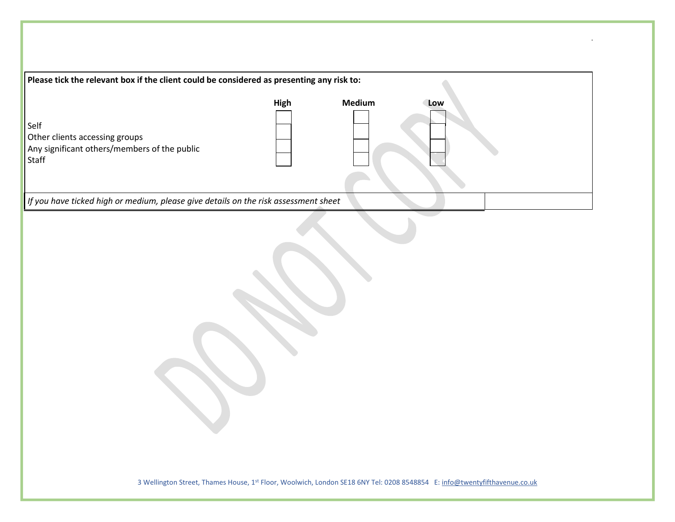| Please tick the relevant box if the client could be considered as presenting any risk to:       |      |        |     |  |
|-------------------------------------------------------------------------------------------------|------|--------|-----|--|
| Self<br>Other clients accessing groups<br>Any significant others/members of the public<br>Staff | High | Medium | Low |  |
| If you have ticked high or medium, please give details on the risk assessment sheet             |      |        |     |  |
|                                                                                                 |      |        |     |  |

 $\mathcal{L}$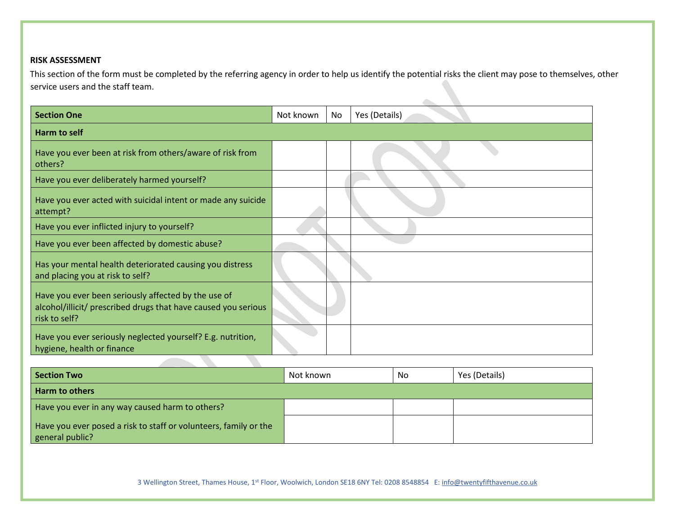#### **RISK ASSESSMENT**

This section of the form must be completed by the referring agency in order to help us identify the potential risks the client may pose to themselves, other service users and the staff team.

 $\mathcal{L}_{\mathcal{M}}$ 

| <b>Section One</b>                                                                                                                     | Not known | No | Yes (Details) |
|----------------------------------------------------------------------------------------------------------------------------------------|-----------|----|---------------|
| Harm to self                                                                                                                           |           |    |               |
| Have you ever been at risk from others/aware of risk from<br>others?                                                                   |           |    |               |
| Have you ever deliberately harmed yourself?                                                                                            |           |    |               |
| Have you ever acted with suicidal intent or made any suicide<br>attempt?                                                               |           |    |               |
| Have you ever inflicted injury to yourself?                                                                                            |           |    |               |
| Have you ever been affected by domestic abuse?                                                                                         |           |    |               |
| Has your mental health deteriorated causing you distress<br>and placing you at risk to self?                                           |           |    |               |
| Have you ever been seriously affected by the use of<br>alcohol/illicit/ prescribed drugs that have caused you serious<br>risk to self? |           |    |               |
| Have you ever seriously neglected yourself? E.g. nutrition,<br>hygiene, health or finance                                              |           |    |               |

| <b>Section Two</b>                                                                  | Not known | No | Yes (Details) |
|-------------------------------------------------------------------------------------|-----------|----|---------------|
| Harm to others                                                                      |           |    |               |
| Have you ever in any way caused harm to others?                                     |           |    |               |
| Have you ever posed a risk to staff or volunteers, family or the<br>general public? |           |    |               |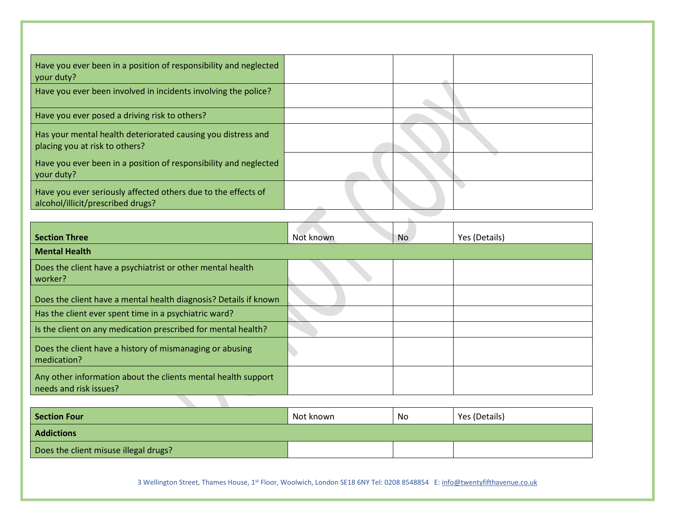| Have you ever been in a position of responsibility and neglected<br>your duty?                     |  |
|----------------------------------------------------------------------------------------------------|--|
| Have you ever been involved in incidents involving the police?                                     |  |
| Have you ever posed a driving risk to others?                                                      |  |
| Has your mental health deteriorated causing you distress and<br>placing you at risk to others?     |  |
| Have you ever been in a position of responsibility and neglected<br>your duty?                     |  |
| Have you ever seriously affected others due to the effects of<br>alcohol/illicit/prescribed drugs? |  |
|                                                                                                    |  |

| <b>Section Three</b>                                                                    | Not known | No. | Yes (Details) |
|-----------------------------------------------------------------------------------------|-----------|-----|---------------|
| <b>Mental Health</b>                                                                    |           |     |               |
| Does the client have a psychiatrist or other mental health<br>worker?                   |           |     |               |
| Does the client have a mental health diagnosis? Details if known                        |           |     |               |
| Has the client ever spent time in a psychiatric ward?                                   |           |     |               |
| Is the client on any medication prescribed for mental health?                           |           |     |               |
| Does the client have a history of mismanaging or abusing<br>medication?                 |           |     |               |
| Any other information about the clients mental health support<br>needs and risk issues? |           |     |               |
|                                                                                         |           |     |               |

| Section Four                          | Not known | No | Yes (Details) |  |
|---------------------------------------|-----------|----|---------------|--|
| <b>Addictions</b>                     |           |    |               |  |
| Does the client misuse illegal drugs? |           |    |               |  |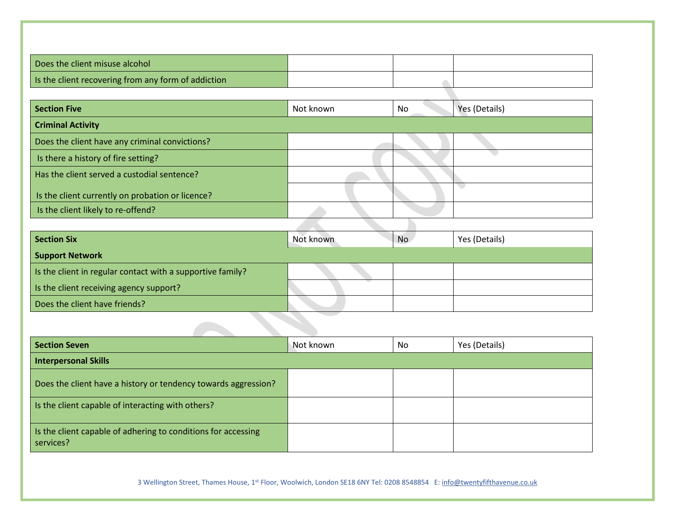| Does the client misuse alcohol                      |  |  |
|-----------------------------------------------------|--|--|
| Is the client recovering from any form of addiction |  |  |
|                                                     |  |  |

| <b>Section Five</b>                              | Not known | No | Yes (Details) |
|--------------------------------------------------|-----------|----|---------------|
| <b>Criminal Activity</b>                         |           |    |               |
| Does the client have any criminal convictions?   |           |    |               |
| Is there a history of fire setting?              |           |    |               |
| Has the client served a custodial sentence?      |           |    |               |
| Is the client currently on probation or licence? |           |    |               |
| Is the client likely to re-offend?               |           |    |               |
|                                                  |           |    |               |

| <b>Section Six</b>                                         | Not known | No | Yes (Details) |  |  |
|------------------------------------------------------------|-----------|----|---------------|--|--|
| <b>Support Network</b>                                     |           |    |               |  |  |
| Is the client in regular contact with a supportive family? |           |    |               |  |  |
| Is the client receiving agency support?                    |           |    |               |  |  |
| Does the client have friends?                              |           |    |               |  |  |
|                                                            |           |    |               |  |  |

| <b>Section Seven</b>                                                       | Not known | No | Yes (Details) |  |  |  |
|----------------------------------------------------------------------------|-----------|----|---------------|--|--|--|
| <b>Interpersonal Skills</b>                                                |           |    |               |  |  |  |
| Does the client have a history or tendency towards aggression?             |           |    |               |  |  |  |
| Is the client capable of interacting with others?                          |           |    |               |  |  |  |
| Is the client capable of adhering to conditions for accessing<br>services? |           |    |               |  |  |  |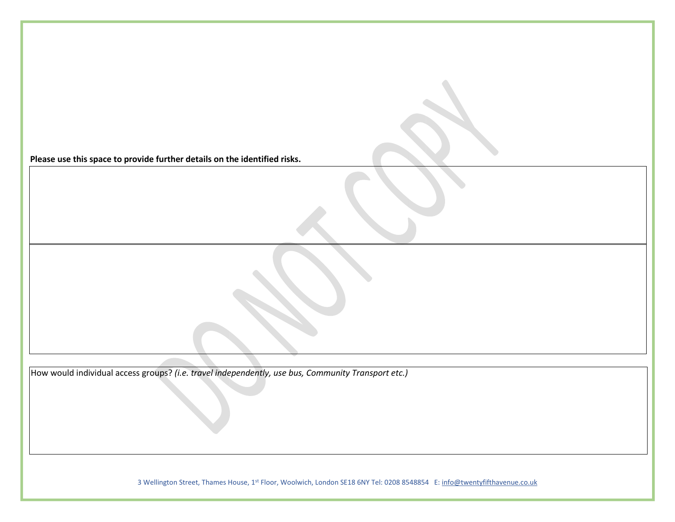**Please use this space to provide further details on the identified risks.** 

How would individual access groups? *(i.e. travel independently, use bus, Community Transport etc.)*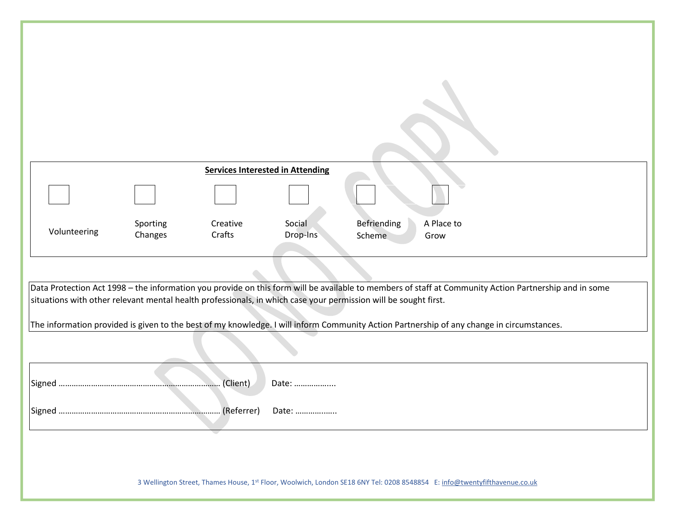|                                                                                                                                                                                                                                                                          |                     | <b>Services Interested in Attending</b> |                    |                                             |  |  |
|--------------------------------------------------------------------------------------------------------------------------------------------------------------------------------------------------------------------------------------------------------------------------|---------------------|-----------------------------------------|--------------------|---------------------------------------------|--|--|
|                                                                                                                                                                                                                                                                          |                     |                                         |                    |                                             |  |  |
|                                                                                                                                                                                                                                                                          |                     |                                         |                    |                                             |  |  |
| Volunteering                                                                                                                                                                                                                                                             | Sporting<br>Changes | Creative<br>Crafts                      | Social<br>Drop-Ins | Befriending<br>A Place to<br>Scheme<br>Grow |  |  |
|                                                                                                                                                                                                                                                                          |                     |                                         |                    |                                             |  |  |
|                                                                                                                                                                                                                                                                          |                     |                                         |                    |                                             |  |  |
| Data Protection Act 1998 – the information you provide on this form will be available to members of staff at Community Action Partnership and in some<br>situations with other relevant mental health professionals, in which case your permission will be sought first. |                     |                                         |                    |                                             |  |  |
| The information provided is given to the best of my knowledge. I will inform Community Action Partnership of any change in circumstances.                                                                                                                                |                     |                                         |                    |                                             |  |  |
|                                                                                                                                                                                                                                                                          |                     |                                         |                    |                                             |  |  |
|                                                                                                                                                                                                                                                                          |                     |                                         |                    |                                             |  |  |
|                                                                                                                                                                                                                                                                          |                     | (Client)                                | Date:              |                                             |  |  |
| Signed                                                                                                                                                                                                                                                                   |                     | (Referrer)                              | Date:              |                                             |  |  |
|                                                                                                                                                                                                                                                                          |                     |                                         |                    |                                             |  |  |
|                                                                                                                                                                                                                                                                          |                     |                                         |                    |                                             |  |  |
|                                                                                                                                                                                                                                                                          |                     |                                         |                    |                                             |  |  |
| 3 Wellington Street, Thames House, 1st Floor, Woolwich, London SE18 6NY Tel: 0208 8548854 E: info@twentyfifthavenue.co.uk                                                                                                                                                |                     |                                         |                    |                                             |  |  |
|                                                                                                                                                                                                                                                                          |                     |                                         |                    |                                             |  |  |